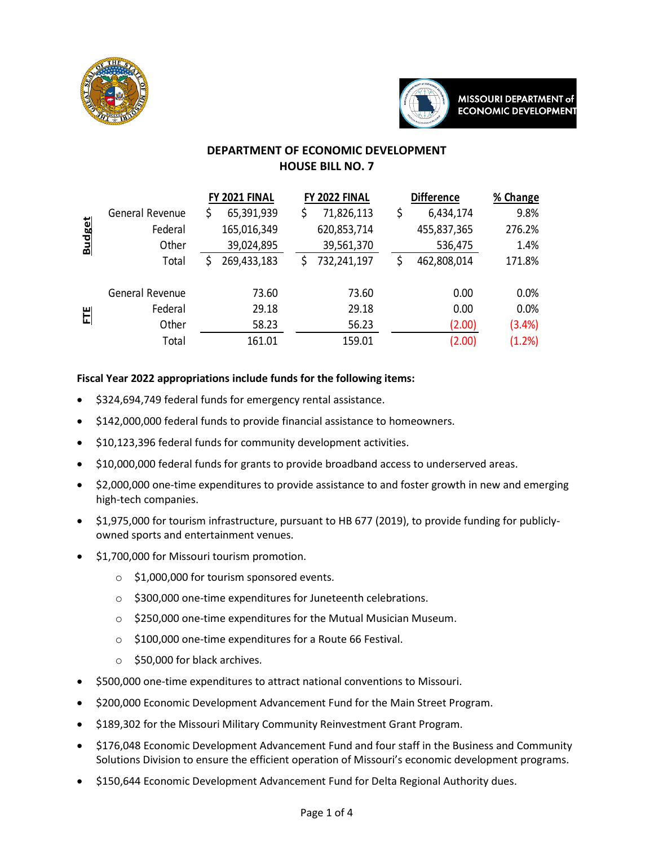



# **DEPARTMENT OF ECONOMIC DEVELOPMENT HOUSE BILL NO. 7**

|               |                 | FY 2021 FINAL    | FY 2022 FINAL     | <b>Difference</b> | % Change |
|---------------|-----------------|------------------|-------------------|-------------------|----------|
|               | General Revenue | 65,391,939<br>\$ | 71,826,113<br>\$  | \$<br>6,434,174   | 9.8%     |
| <b>Budget</b> | Federal         | 165,016,349      | 620,853,714       | 455,837,365       | 276.2%   |
|               | Other           | 39,024,895       | 39,561,370        | 536,475           | 1.4%     |
|               | Total           | 269,433,183      | 732,241,197<br>\$ | 462,808,014<br>\$ | 171.8%   |
| E             | General Revenue | 73.60            | 73.60             | 0.00              | 0.0%     |
|               | Federal         | 29.18            | 29.18             | 0.00              | 0.0%     |
|               | Other           | 58.23            | 56.23             | (2.00)            | (3.4%)   |
|               | Total           | 161.01           | 159.01            | (2.00)            | (1.2%)   |

## **Fiscal Year 2022 appropriations include funds for the following items:**

- \$324,694,749 federal funds for emergency rental assistance.
- \$142,000,000 federal funds to provide financial assistance to homeowners.
- \$10,123,396 federal funds for community development activities.
- \$10,000,000 federal funds for grants to provide broadband access to underserved areas.
- \$2,000,000 one-time expenditures to provide assistance to and foster growth in new and emerging high-tech companies.
- \$1,975,000 for tourism infrastructure, pursuant to HB 677 (2019), to provide funding for publiclyowned sports and entertainment venues.
- \$1,700,000 for Missouri tourism promotion.
	- $\circ$  \$1,000,000 for tourism sponsored events.
	- o \$300,000 one-time expenditures for Juneteenth celebrations.
	- o \$250,000 one-time expenditures for the Mutual Musician Museum.
	- o \$100,000 one-time expenditures for a Route 66 Festival.
	- o \$50,000 for black archives.
- \$500,000 one-time expenditures to attract national conventions to Missouri.
- \$200,000 Economic Development Advancement Fund for the Main Street Program.
- \$189,302 for the Missouri Military Community Reinvestment Grant Program.
- \$176,048 Economic Development Advancement Fund and four staff in the Business and Community Solutions Division to ensure the efficient operation of Missouri's economic development programs.
- \$150,644 Economic Development Advancement Fund for Delta Regional Authority dues.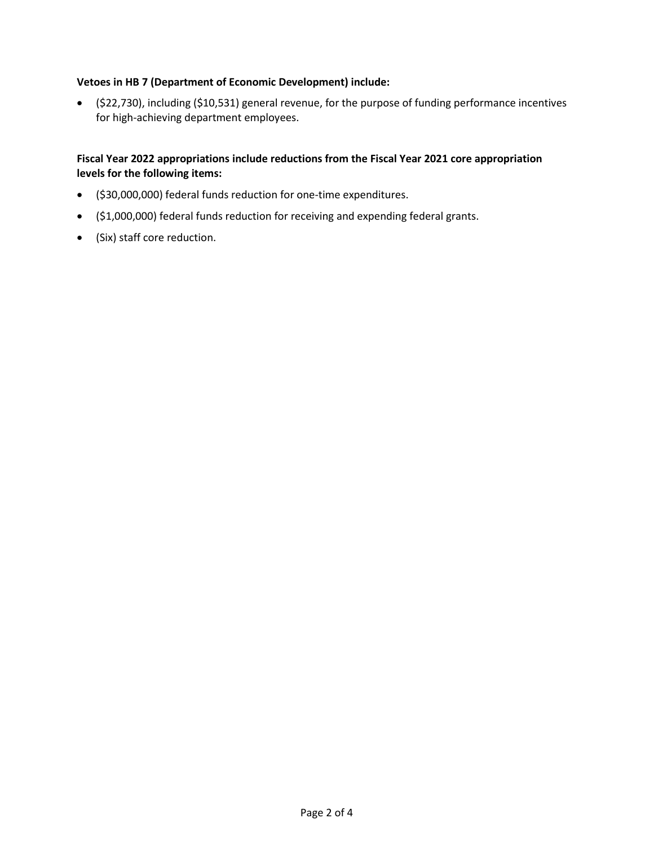#### **Vetoes in HB 7 (Department of Economic Development) include:**

• (\$22,730), including (\$10,531) general revenue, for the purpose of funding performance incentives for high-achieving department employees.

#### **Fiscal Year 2022 appropriations include reductions from the Fiscal Year 2021 core appropriation levels for the following items:**

- (\$30,000,000) federal funds reduction for one-time expenditures.
- (\$1,000,000) federal funds reduction for receiving and expending federal grants.
- (Six) staff core reduction.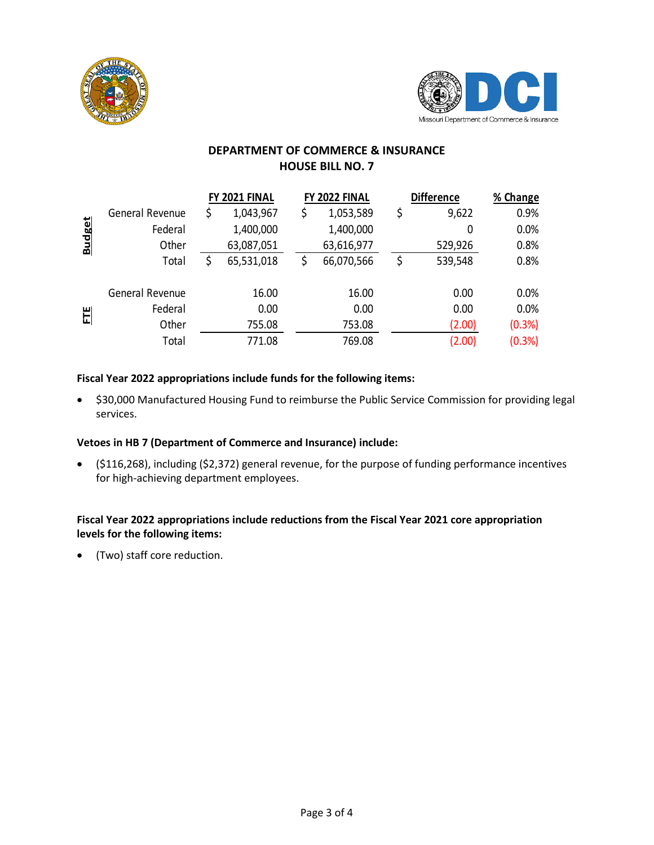



# **DEPARTMENT OF COMMERCE & INSURANCE HOUSE BILL NO. 7**

|               |                 | FY 2021 FINAL |            | FY 2022 FINAL    |    | <b>Difference</b> | % Change |
|---------------|-----------------|---------------|------------|------------------|----|-------------------|----------|
|               | General Revenue | \$            | 1,043,967  | \$<br>1,053,589  | \$ | 9,622             | 0.9%     |
| <b>Budget</b> | Federal         |               | 1,400,000  | 1,400,000        |    | 0                 | 0.0%     |
|               | Other           |               | 63,087,051 | 63,616,977       |    | 529,926           | 0.8%     |
|               | Total           | \$            | 65,531,018 | \$<br>66,070,566 | \$ | 539,548           | 0.8%     |
| 비             | General Revenue |               | 16.00      | 16.00            |    | 0.00              | 0.0%     |
|               | Federal         |               | 0.00       | 0.00             |    | 0.00              | 0.0%     |
|               | Other           |               | 755.08     | 753.08           |    | (2.00)            | (0.3%)   |
|               | Total           |               | 771.08     | 769.08           |    | (2.00)            | (0.3%)   |

## **Fiscal Year 2022 appropriations include funds for the following items:**

• \$30,000 Manufactured Housing Fund to reimburse the Public Service Commission for providing legal services.

### **Vetoes in HB 7 (Department of Commerce and Insurance) include:**

• (\$116,268), including (\$2,372) general revenue, for the purpose of funding performance incentives for high-achieving department employees.

### **Fiscal Year 2022 appropriations include reductions from the Fiscal Year 2021 core appropriation levels for the following items:**

• (Two) staff core reduction.